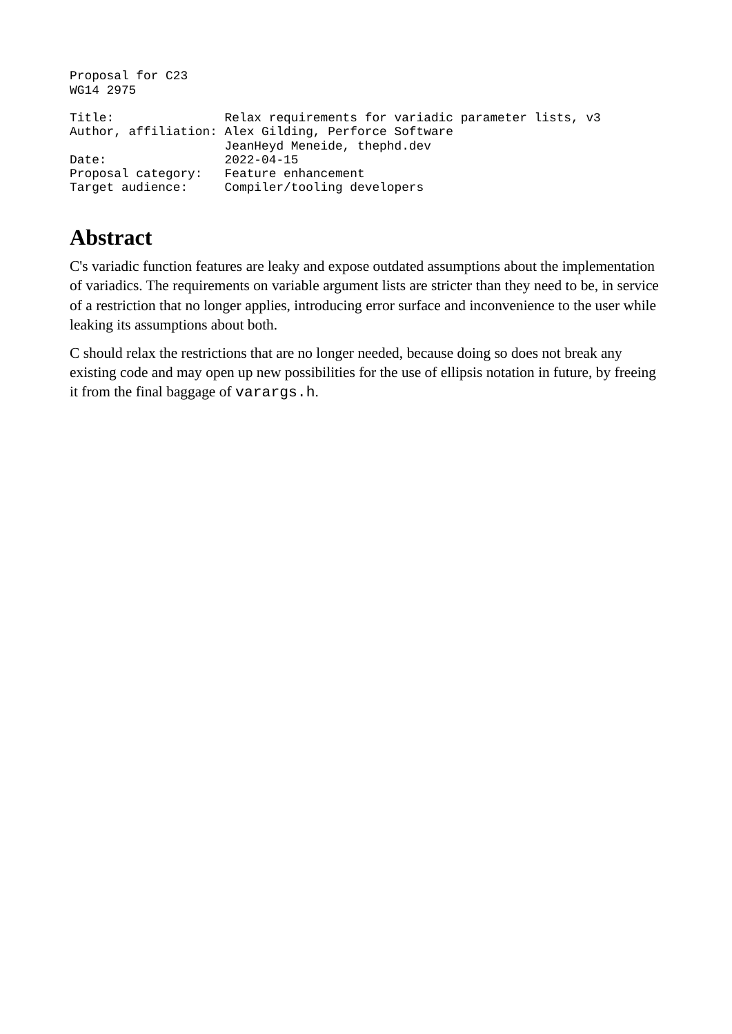| Proposal for C23<br>WG14 2975          |                                                                                                                                             |
|----------------------------------------|---------------------------------------------------------------------------------------------------------------------------------------------|
| Title:                                 | Relax requirements for variadic parameter lists, v3<br>Author, affiliation: Alex Gilding, Perforce Software<br>JeanHeyd Meneide, thephd.dev |
| Date:                                  | $2022 - 04 - 15$                                                                                                                            |
| Proposal category:<br>Target audience: | Feature enhancement<br>Compiler/tooling developers                                                                                          |

# **Abstract**

C's variadic function features are leaky and expose outdated assumptions about the implementation of variadics. The requirements on variable argument lists are stricter than they need to be, in service of a restriction that no longer applies, introducing error surface and inconvenience to the user while leaking its assumptions about both.

C should relax the restrictions that are no longer needed, because doing so does not break any existing code and may open up new possibilities for the use of ellipsis notation in future, by freeing it from the final baggage of varargs.h.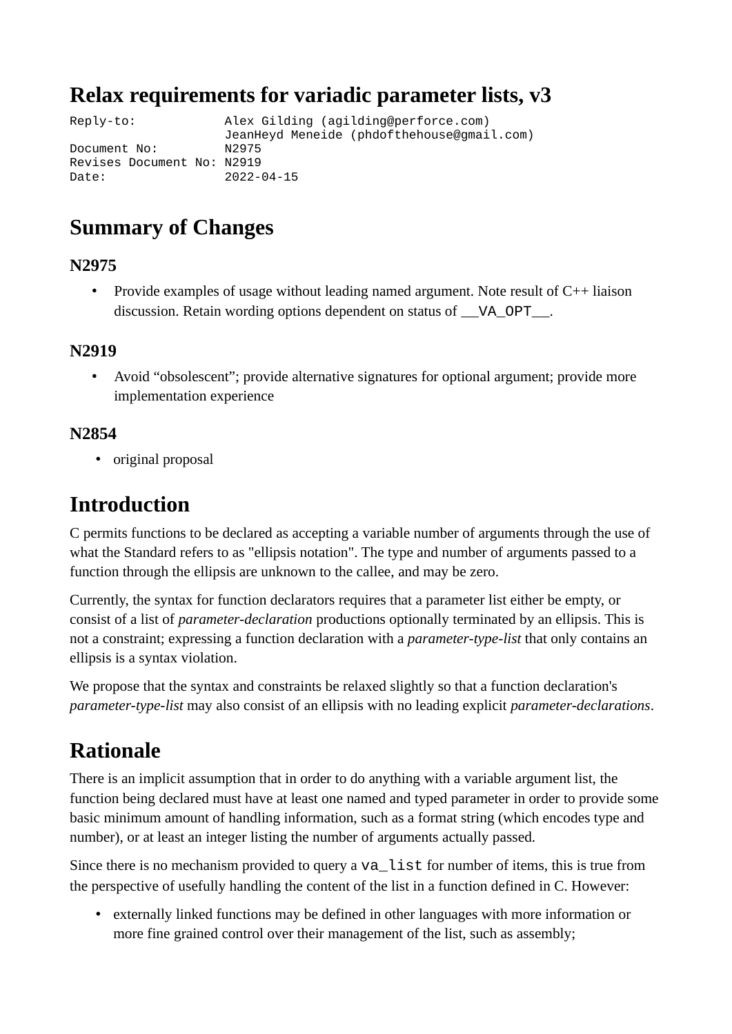### **Relax requirements for variadic parameter lists, v3**

Reply-to: Alex Gilding (agilding@perforce.com) JeanHeyd Meneide (phdofthehouse@gmail.com) Document No: Revises Document No: N2919 Date: 2022-04-15

### **Summary of Changes**

#### **N2975**

• Provide examples of usage without leading named argument. Note result of  $C_{++}$  liaison discussion. Retain wording options dependent on status of \_\_VA\_OPT\_\_\_.

#### **N2919**

• Avoid "obsolescent"; provide alternative signatures for optional argument; provide more implementation experience

#### **N2854**

• original proposal

### **Introduction**

C permits functions to be declared as accepting a variable number of arguments through the use of what the Standard refers to as "ellipsis notation". The type and number of arguments passed to a function through the ellipsis are unknown to the callee, and may be zero.

Currently, the syntax for function declarators requires that a parameter list either be empty, or consist of a list of *parameter-declaration* productions optionally terminated by an ellipsis. This is not a constraint; expressing a function declaration with a *parameter-type-list* that only contains an ellipsis is a syntax violation.

We propose that the syntax and constraints be relaxed slightly so that a function declaration's *parameter-type-list* may also consist of an ellipsis with no leading explicit *parameter-declarations*.

## **Rationale**

There is an implicit assumption that in order to do anything with a variable argument list, the function being declared must have at least one named and typed parameter in order to provide some basic minimum amount of handling information, such as a format string (which encodes type and number), or at least an integer listing the number of arguments actually passed.

Since there is no mechanism provided to query a  $va$  list for number of items, this is true from the perspective of usefully handling the content of the list in a function defined in C. However:

• externally linked functions may be defined in other languages with more information or more fine grained control over their management of the list, such as assembly;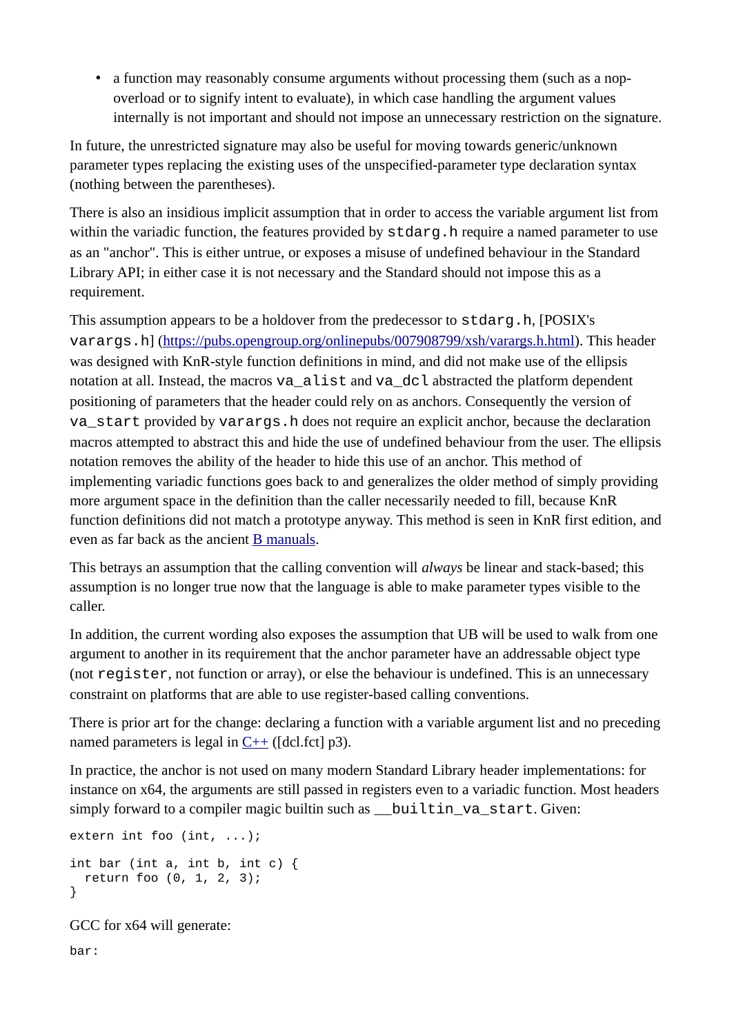• a function may reasonably consume arguments without processing them (such as a nopoverload or to signify intent to evaluate), in which case handling the argument values internally is not important and should not impose an unnecessary restriction on the signature.

In future, the unrestricted signature may also be useful for moving towards generic/unknown parameter types replacing the existing uses of the unspecified-parameter type declaration syntax (nothing between the parentheses).

There is also an insidious implicit assumption that in order to access the variable argument list from within the variadic function, the features provided by stdarg. h require a named parameter to use as an "anchor". This is either untrue, or exposes a misuse of undefined behaviour in the Standard Library API; in either case it is not necessary and the Standard should not impose this as a requirement.

This assumption appears to be a holdover from the predecessor to  $stdarg.h$ , [POSIX's varargs.h] [\(https://pubs.opengroup.org/onlinepubs/007908799/xsh/varargs.h.html](https://pubs.opengroup.org/onlinepubs/007908799/xsh/varargs.h.html)). This header was designed with KnR-style function definitions in mind, and did not make use of the ellipsis notation at all. Instead, the macros va\_alist and va\_dcl abstracted the platform dependent positioning of parameters that the header could rely on as anchors. Consequently the version of va\_start provided by varargs.h does not require an explicit anchor, because the declaration macros attempted to abstract this and hide the use of undefined behaviour from the user. The ellipsis notation removes the ability of the header to hide this use of an anchor. This method of implementing variadic functions goes back to and generalizes the older method of simply providing more argument space in the definition than the caller necessarily needed to fill, because KnR function definitions did not match a prototype anyway. This method is seen in KnR first edition, and even as far back as the ancient  $\underline{B}$  manuals.

This betrays an assumption that the calling convention will *always* be linear and stack-based; this assumption is no longer true now that the language is able to make parameter types visible to the caller.

In addition, the current wording also exposes the assumption that UB will be used to walk from one argument to another in its requirement that the anchor parameter have an addressable object type (not register, not function or array), or else the behaviour is undefined. This is an unnecessary constraint on platforms that are able to use register-based calling conventions.

There is prior art for the change: declaring a function with a variable argument list and no preceding named parameters is legal in  $C++$  ([dcl.fct] p3).

In practice, the anchor is not used on many modern Standard Library header implementations: for instance on x64, the arguments are still passed in registers even to a variadic function. Most headers simply forward to a compiler magic builtin such as \_\_builtin\_va\_start. Given:

```
extern int foo (int, ...);
int bar (int a, int b, int c) {
   return foo (0, 1, 2, 3);
}
```
GCC for x64 will generate:

bar: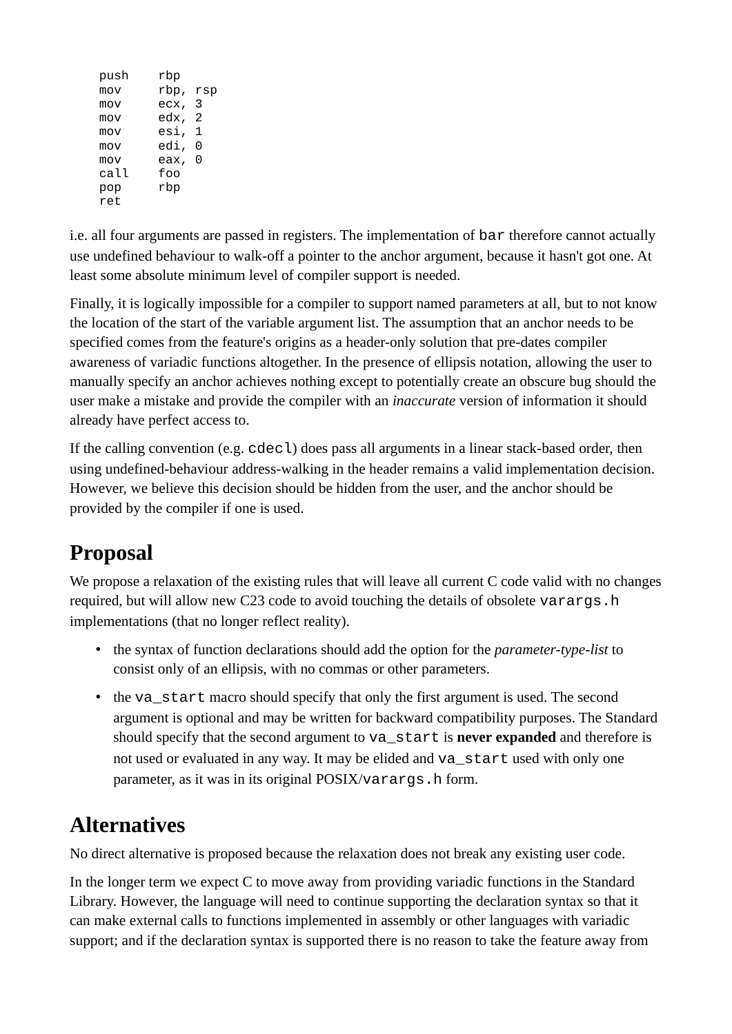| rbp,<br>mov<br>3<br>ecx,<br>mov<br>edx,<br>2<br>mov<br>esi,<br>1<br>mov<br>edi,<br>0<br>mov<br>0<br>eax,<br>mov<br>call<br>foo<br>rbp<br>pop<br>ret | push | rbp |     |
|-----------------------------------------------------------------------------------------------------------------------------------------------------|------|-----|-----|
|                                                                                                                                                     |      |     | rsp |
|                                                                                                                                                     |      |     |     |
|                                                                                                                                                     |      |     |     |
|                                                                                                                                                     |      |     |     |
|                                                                                                                                                     |      |     |     |
|                                                                                                                                                     |      |     |     |
|                                                                                                                                                     |      |     |     |
|                                                                                                                                                     |      |     |     |
|                                                                                                                                                     |      |     |     |

i.e. all four arguments are passed in registers. The implementation of bar therefore cannot actually use undefined behaviour to walk-off a pointer to the anchor argument, because it hasn't got one. At least some absolute minimum level of compiler support is needed.

Finally, it is logically impossible for a compiler to support named parameters at all, but to not know the location of the start of the variable argument list. The assumption that an anchor needs to be specified comes from the feature's origins as a header-only solution that pre-dates compiler awareness of variadic functions altogether. In the presence of ellipsis notation, allowing the user to manually specify an anchor achieves nothing except to potentially create an obscure bug should the user make a mistake and provide the compiler with an *inaccurate* version of information it should already have perfect access to.

If the calling convention (e.g.  $\text{cdec}$ ) does pass all arguments in a linear stack-based order, then using undefined-behaviour address-walking in the header remains a valid implementation decision. However, we believe this decision should be hidden from the user, and the anchor should be provided by the compiler if one is used.

# **Proposal**

We propose a relaxation of the existing rules that will leave all current C code valid with no changes required, but will allow new C23 code to avoid touching the details of obsolete varargs.h implementations (that no longer reflect reality).

- the syntax of function declarations should add the option for the *parameter-type-list* to consist only of an ellipsis, with no commas or other parameters.
- the vastart macro should specify that only the first argument is used. The second argument is optional and may be written for backward compatibility purposes. The Standard should specify that the second argument to va\_start is **never expanded** and therefore is not used or evaluated in any way. It may be elided and va\_start used with only one parameter, as it was in its original POSIX/varargs.h form.

# **Alternatives**

No direct alternative is proposed because the relaxation does not break any existing user code.

In the longer term we expect C to move away from providing variadic functions in the Standard Library. However, the language will need to continue supporting the declaration syntax so that it can make external calls to functions implemented in assembly or other languages with variadic support; and if the declaration syntax is supported there is no reason to take the feature away from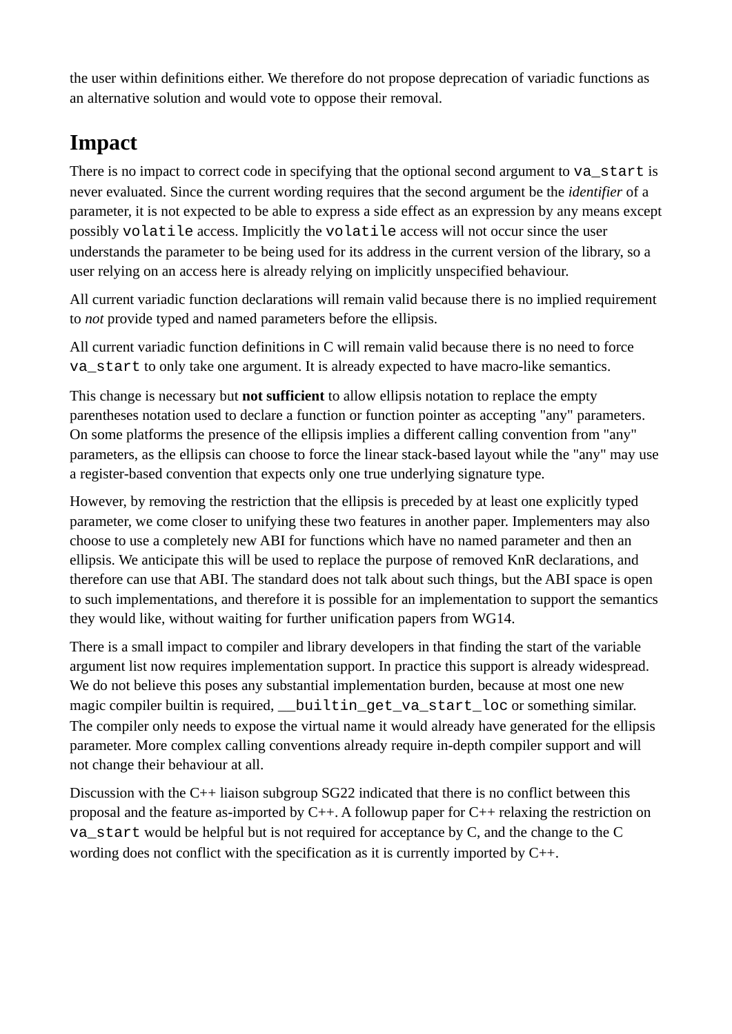the user within definitions either. We therefore do not propose deprecation of variadic functions as an alternative solution and would vote to oppose their removal.

# **Impact**

There is no impact to correct code in specifying that the optional second argument to  $va\_start$  is never evaluated. Since the current wording requires that the second argument be the *identifier* of a parameter, it is not expected to be able to express a side effect as an expression by any means except possibly volatile access. Implicitly the volatile access will not occur since the user understands the parameter to be being used for its address in the current version of the library, so a user relying on an access here is already relying on implicitly unspecified behaviour.

All current variadic function declarations will remain valid because there is no implied requirement to *not* provide typed and named parameters before the ellipsis.

All current variadic function definitions in C will remain valid because there is no need to force va\_start to only take one argument. It is already expected to have macro-like semantics.

This change is necessary but **not sufficient** to allow ellipsis notation to replace the empty parentheses notation used to declare a function or function pointer as accepting "any" parameters. On some platforms the presence of the ellipsis implies a different calling convention from "any" parameters, as the ellipsis can choose to force the linear stack-based layout while the "any" may use a register-based convention that expects only one true underlying signature type.

However, by removing the restriction that the ellipsis is preceded by at least one explicitly typed parameter, we come closer to unifying these two features in another paper. Implementers may also choose to use a completely new ABI for functions which have no named parameter and then an ellipsis. We anticipate this will be used to replace the purpose of removed KnR declarations, and therefore can use that ABI. The standard does not talk about such things, but the ABI space is open to such implementations, and therefore it is possible for an implementation to support the semantics they would like, without waiting for further unification papers from WG14.

There is a small impact to compiler and library developers in that finding the start of the variable argument list now requires implementation support. In practice this support is already widespread. We do not believe this poses any substantial implementation burden, because at most one new magic compiler builtin is required, builtin get va start loc or something similar. The compiler only needs to expose the virtual name it would already have generated for the ellipsis parameter. More complex calling conventions already require in-depth compiler support and will not change their behaviour at all.

Discussion with the C++ liaison subgroup SG22 indicated that there is no conflict between this proposal and the feature as-imported by C++. A followup paper for C++ relaxing the restriction on va\_start would be helpful but is not required for acceptance by C, and the change to the C wording does not conflict with the specification as it is currently imported by C++.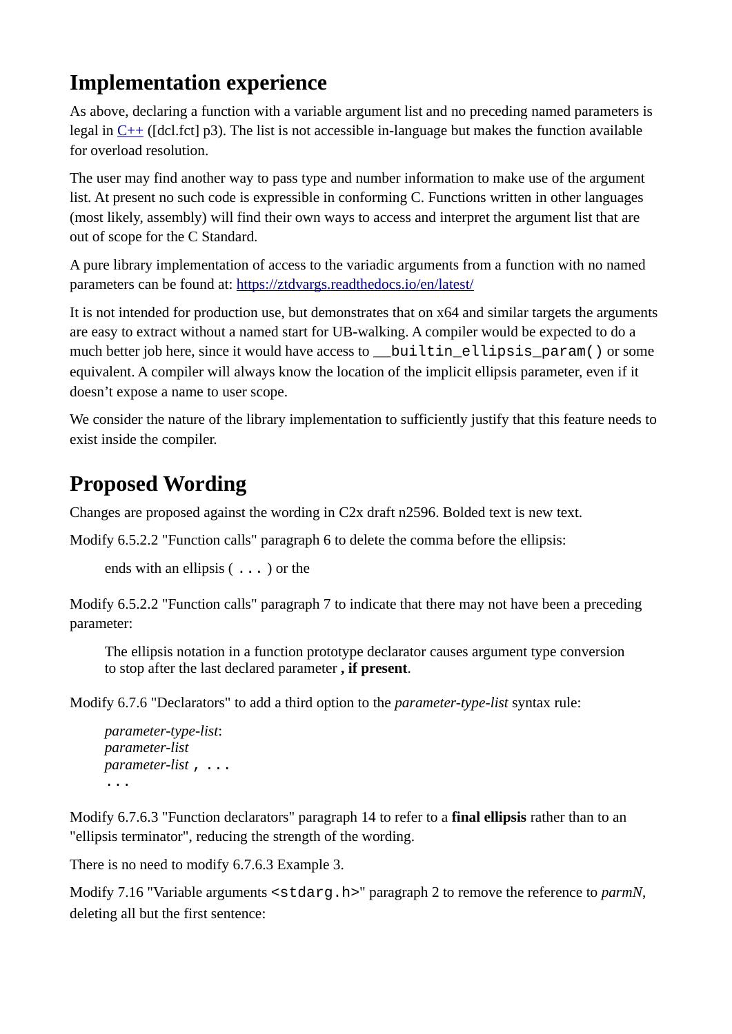## **Implementation experience**

As above, declaring a function with a variable argument list and no preceding named parameters is legal in [C++](http://www.open-std.org/jtc1/sc22/wg21/docs/papers/2017/n4659.pdf) ([dcl.fct] p3). The list is not accessible in-language but makes the function available for overload resolution.

The user may find another way to pass type and number information to make use of the argument list. At present no such code is expressible in conforming C. Functions written in other languages (most likely, assembly) will find their own ways to access and interpret the argument list that are out of scope for the C Standard.

A pure library implementation of access to the variadic arguments from a function with no named parameters can be found at:<https://ztdvargs.readthedocs.io/en/latest/>

It is not intended for production use, but demonstrates that on x64 and similar targets the arguments are easy to extract without a named start for UB-walking. A compiler would be expected to do a much better job here, since it would have access to \_\_builtin\_ellipsis\_param() or some equivalent. A compiler will always know the location of the implicit ellipsis parameter, even if it doesn't expose a name to user scope.

We consider the nature of the library implementation to sufficiently justify that this feature needs to exist inside the compiler.

# **Proposed Wording**

Changes are proposed against the wording in C2x draft n2596. Bolded text is new text.

Modify 6.5.2.2 "Function calls" paragraph 6 to delete the comma before the ellipsis:

```
ends with an ellipsis ( ... ) or the
```
Modify 6.5.2.2 "Function calls" paragraph 7 to indicate that there may not have been a preceding parameter:

The ellipsis notation in a function prototype declarator causes argument type conversion to stop after the last declared parameter **, if present**.

Modify 6.7.6 "Declarators" to add a third option to the *parameter-type-list* syntax rule:

*parameter-type-list*: *parameter-list parameter-list* , ... ...

Modify 6.7.6.3 "Function declarators" paragraph 14 to refer to a **final ellipsis** rather than to an "ellipsis terminator", reducing the strength of the wording.

There is no need to modify 6.7.6.3 Example 3.

Modify 7.16 "Variable arguments <stdarg.h>" paragraph 2 to remove the reference to *parmN*, deleting all but the first sentence: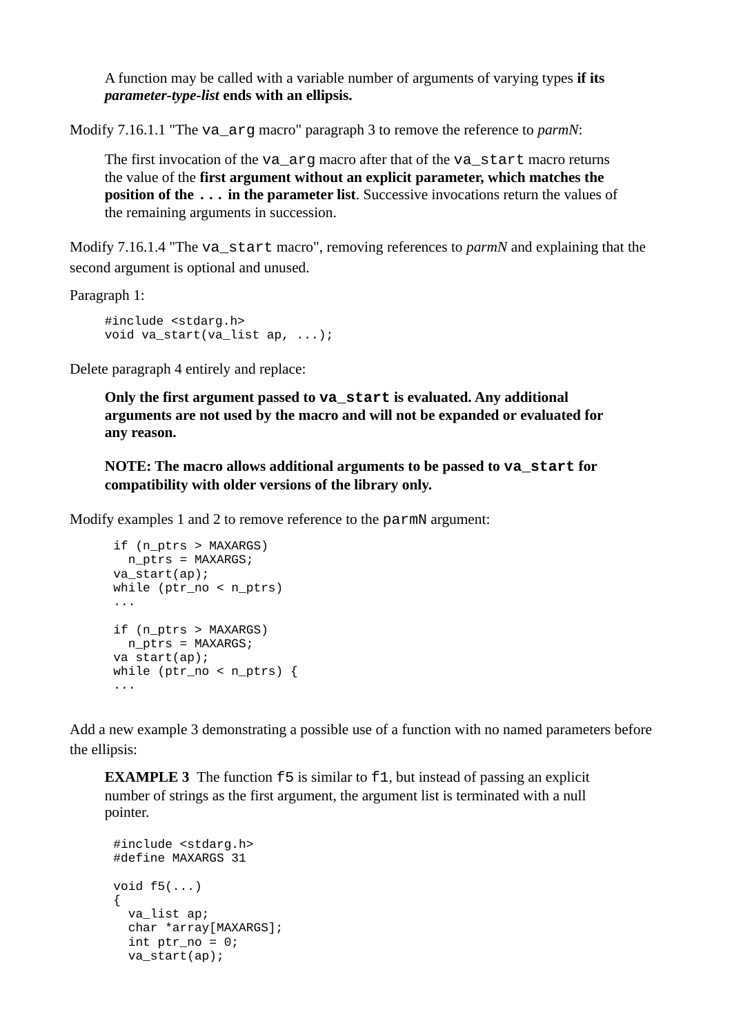A function may be called with a variable number of arguments of varying types **if its**  *parameter-type-list* **ends with an ellipsis.**

Modify 7.16.1.1 "The va\_arg macro" paragraph 3 to remove the reference to *parmN*:

The first invocation of the va arg macro after that of the va start macro returns the value of the **first argument without an explicit parameter, which matches the position of the ... in the parameter list**. Successive invocations return the values of the remaining arguments in succession.

Modify 7.16.1.4 "The va start macro", removing references to *parmN* and explaining that the second argument is optional and unused.

Paragraph 1:

```
#include <stdarg.h>
void va_start(va_list ap, ...);
```
Delete paragraph 4 entirely and replace:

**Only the first argument passed to va\_start is evaluated. Any additional arguments are not used by the macro and will not be expanded or evaluated for any reason.**

**NOTE: The macro allows additional arguments to be passed to va\_start for compatibility with older versions of the library only.**

Modify examples 1 and 2 to remove reference to the parmN argument:

```
if (n_ptrs > MAXARGS)
  n_ptrs = MAXARGS;
va_start(ap);
while (ptr_no < n_ptrs)
...
if (n_ptrs > MAXARGS)
 n ptrs = MAXARGS;
va start(ap);
while (ptr\_no < n\_ptr) {
...
```
Add a new example 3 demonstrating a possible use of a function with no named parameters before the ellipsis:

**EXAMPLE 3** The function **f5** is similar to **f1**, but instead of passing an explicit number of strings as the first argument, the argument list is terminated with a null pointer.

```
#include <stdarg.h>
#define MAXARGS 31
void f5(...)
{
 va list ap;
   char *array[MAXARGS];
  int ptr\_no = 0; va_start(ap);
```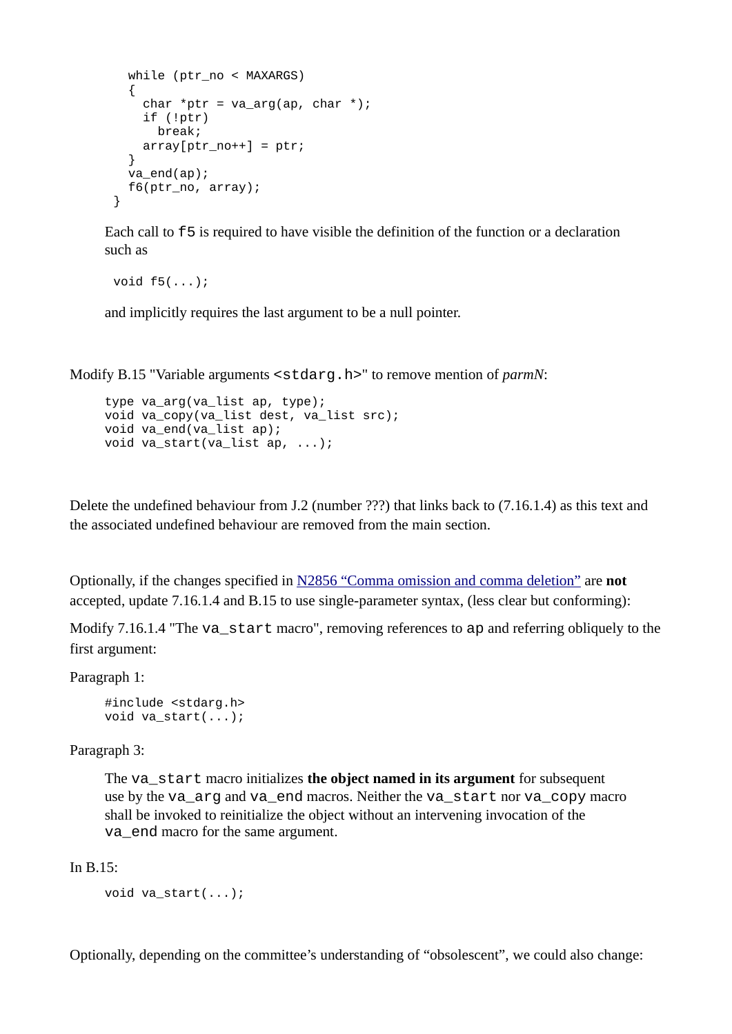```
while (ptr no < MAXARGS)
   {
    char *ptr = va arg(ap, char *); if (!ptr)
       break;
    array[ptr\_no++] = <i>ptr</i> }
   va_end(ap);
   f6(ptr_no, array);
}
```
Each call to f5 is required to have visible the definition of the function or a declaration such as

```
void f5(...);
```
and implicitly requires the last argument to be a null pointer.

Modify B.15 "Variable arguments <stdarg.h>" to remove mention of *parmN*:

```
type va_arg(va_list ap, type);
void va_copy(va_list dest, va_list src);
void va_end(va_list ap);
void va_start(va_list ap, ...);
```
Delete the undefined behaviour from J.2 (number ???) that links back to (7.16.1.4) as this text and the associated undefined behaviour are removed from the main section.

Optionally, if the changes specified in [N2856 "Comma omission and comma deletion"](http://www.open-std.org/jtc1/sc22/wg14/www/docs/n2856.htm) are **not** accepted, update 7.16.1.4 and B.15 to use single-parameter syntax, (less clear but conforming):

Modify 7.16.1.4 "The va\_start macro", removing references to ap and referring obliquely to the first argument:

Paragraph 1:

#include <stdarg.h> void va\_start(...);

Paragraph 3:

The va\_start macro initializes **the object named in its argument** for subsequent use by the va\_arg and va\_end macros. Neither the va\_start nor va\_copy macro shall be invoked to reinitialize the object without an intervening invocation of the va\_end macro for the same argument.

In B.15:

```
void va_start(...);
```
Optionally, depending on the committee's understanding of "obsolescent", we could also change: